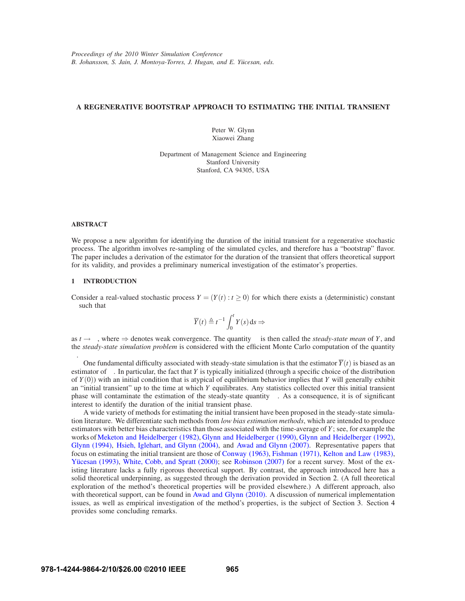## **A REGENERATIVE BOOTSTRAP APPROACH TO ESTIMATING THE INITIAL TRANSIENT**

Peter W. Glynn Xiaowei Zhang

Department of Management Science and Engineering Stanford University Stanford, CA 94305, USA

## **ABSTRACT**

We propose a new algorithm for identifying the duration of the initial transient for a regenerative stochastic process. The algorithm involves re-sampling of the simulated cycles, and therefore has a "bootstrap" flavor. The paper includes a derivation of the estimator for the duration of the transient that offers theoretical support for its validity, and provides a preliminary numerical investigation of the estimator's properties.

## **1 INTRODUCTION**

Consider a real-valued stochastic process  $Y = (Y(t): t \ge 0)$  for which there exists a (deterministic) constant  $\alpha$  such that

$$
\overline{Y}(t) \triangleq t^{-1} \int_0^t Y(s) \, ds \Rightarrow \alpha
$$

as  $t \to \infty$ , where  $\Rightarrow$  denotes weak convergence. The quantity  $\alpha$  is then called the *steady-state mean* of *Y*, and the *steady-state simulation problem* is considered with the efficient Monte Carlo computation of the quantity α.

One fundamental difficulty associated with steady-state simulation is that the estimator  $\overline{Y}(t)$  is biased as an estimator of  $\alpha$ . In particular, the fact that *Y* is typically initialized (through a specific choice of the distribution of *Y*(0)) with an initial condition that is atypical of equilibrium behavior implies that *Y* will generally exhibit an "initial transient" up to the time at which *Y* equilibrates. Any statistics collected over this initial transient phase will contaminate the estimation of the steady-state quantity  $\alpha$ . As a consequence, it is of significant interest to identify the duration of the initial transient phase.

A wide variety of methods for estimating the initial transient have been proposed in the steady-state simulation literature. We differentiate such methods from *low bias estimation methods*, which are intended to produce estimators with better bias characteristics than those associated with the time-average of *Y*; see, for example the works of Meketon and Heidelberger (1982), Glynn and Heidelberger (1990), Glynn and Heidelberger (1992), Glynn (1994), Hsieh, Iglehart, and Glynn (2004), and Awad and Glynn (2007). Representative papers that focus on estimating the initial transient are those of Conway (1963), Fishman (1971), Kelton and Law (1983), Yücesan (1993), White, Cobb, and Spratt (2000); see Robinson (2007) for a recent survey. Most of the existing literature lacks a fully rigorous theoretical support. By contrast, the approach introduced here has a solid theoretical underpinning, as suggested through the derivation provided in Section 2. (A full theoretical exploration of the method's theoretical properties will be provided elsewhere.) A different approach, also with theoretical support, can be found in Awad and Glynn (2010). A discussion of numerical implementation issues, as well as empirical investigation of the method's properties, is the subject of Section 3. Section 4 provides some concluding remarks.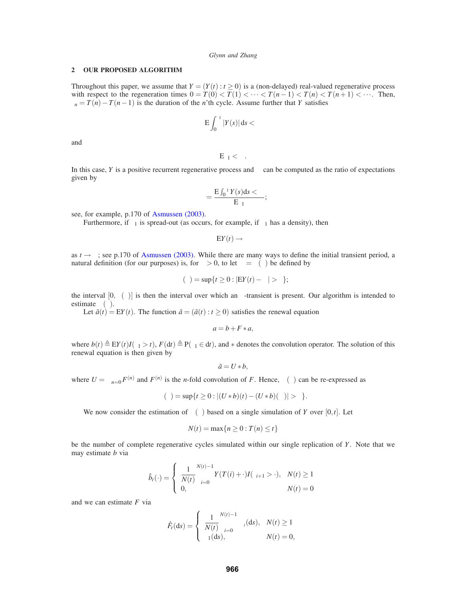#### *Glynn and Zhang*

## **2 OUR PROPOSED ALGORITHM**

Throughout this paper, we assume that  $Y = (Y(t): t \ge 0)$  is a (non-delayed) real-valued regenerative process with respect to the regeneration times  $0 = T(0) < T(1) < \cdots < T(n-1) < T(n) < T(n+1) < \cdots$ . Then,  $\tau_n = T(n) - T(n-1)$  is the duration of the *n*'th cycle. Assume further that *Y* satisfies

$$
E\int_0^{\tau_1} |Y(s)| ds < \infty
$$

and

$$
E\tau_1<\infty.
$$

In this case, *Y* is a positive recurrent regenerative process and  $\alpha$  can be computed as the ratio of expectations given by

$$
\alpha = \frac{E \int_0^{\tau_1} Y(s) ds < \infty}{E \tau_1};
$$

see, for example, p.170 of Asmussen (2003).

Furthermore, if  $\tau_1$  is spread-out (as occurs, for example, if  $\tau_1$  has a density), then

 $EY(t) \rightarrow \alpha$ 

as  $t \to \infty$ ; see p.170 of Asmussen (2003). While there are many ways to define the initial transient period, a natural definition (for our purposes) is, for  $\varepsilon > 0$ , to let  $\beta = \beta(\varepsilon)$  be defined by

$$
\beta(\varepsilon) = \sup\{t \ge 0 : |\mathbf{E}Y(t) - \alpha| > \varepsilon\};
$$

the interval  $[0,\beta(\varepsilon)]$  is then the interval over which an  $\varepsilon$ -transient is present. Our algorithm is intended to estimate  $\beta(\varepsilon)$ .

Let  $\tilde{a}(t) = EY(t)$ . The function  $\tilde{a} = (\tilde{a}(t) : t \ge 0)$  satisfies the renewal equation

$$
a = b + F * a,
$$

where  $b(t) \triangleq EY(t)I(\tau_1 > t)$ ,  $F(dt) \triangleq P(\tau_1 \in dt)$ , and  $*$  denotes the convolution operator. The solution of this renewal equation is then given by

$$
\tilde{a}=U*b,
$$

where  $U = \sum_{n=0}^{\infty} F^{(n)}$  and  $F^{(n)}$  is the *n*-fold convolution of *F*. Hence,  $\beta(\varepsilon)$  can be re-expressed as

$$
\beta(\varepsilon) = \sup\{t \ge 0 : |(U * b)(t) - (U * b)(\infty)| > \varepsilon\}.
$$

We now consider the estimation of  $\beta(\varepsilon)$  based on a single simulation of *Y* over [0,*t*]. Let

$$
N(t) = \max\{n \ge 0 : T(n) \le t\}
$$

be the number of complete regenerative cycles simulated within our single replication of *Y*. Note that we may estimate *b* via

$$
\hat{b}_t(\cdot) = \begin{cases}\n\frac{1}{N(t)} \sum_{i=0}^{N(t)-1} Y(T(i) + \cdot) I(\tau_{i+1} > \cdot), & N(t) \ge 1 \\
0, & N(t) = 0\n\end{cases}
$$

and we can estimate *F* via

$$
\hat{F}_t(\mathrm{d}s) = \begin{cases} \frac{1}{N(t)} \sum_{i=0}^{N(t)-1} \delta_{\tau_i}(\mathrm{d}s), & N(t) \geq 1 \\ \delta_1(\mathrm{d}s), & N(t) = 0, \end{cases}
$$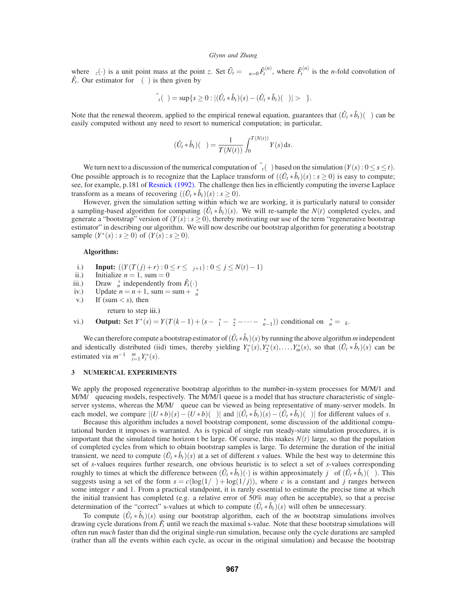## *Glynn and Zhang*

where  $\delta_z(\cdot)$  is a unit point mass at the point *z*. Set  $\hat{U}_t = \sum_{n=0}^{\infty} \hat{F}_t^{(n)}$ , where  $\hat{F}_t^{(n)}$  is the *n*-fold convolution of  $\hat{F}_t$ . Our estimator for  $\beta(\varepsilon)$  is then given by

$$
\hat{\beta}_t(\varepsilon) = \sup\{s \geq 0 : |(\hat{U}_t * \hat{b}_t)(s) - (\hat{U}_t * \hat{b}_t)(\infty)| > \varepsilon\}.
$$

Note that the renewal theorem, applied to the empirical renewal equation, guarantees that  $(\hat{U}_t * \hat{b}_t)(\infty)$  can be easily computed without any need to resort to numerical computation; in particular,

$$
(\hat{U}_t * \hat{b}_t)(\infty) = \frac{1}{T(N(t))} \int_0^{T(N(t))} Y(s) \, ds.
$$

We turn next to a discussion of the numerical computation of  $\hat{\beta}_t(\varepsilon)$  based on the simulation  $(Y(s): 0 \le s \le t)$ . One possible approach is to recognize that the Laplace transform of  $((\hat{U}_t * \hat{b}_t)(s) : s \ge 0)$  is easy to compute; see, for example, p.181 of Resnick (1992). The challenge then lies in efficiently computing the inverse Laplace transform as a means of recovering  $((\hat{U}_t * \hat{b}_t)(s) : s \ge 0)$ .

However, given the simulation setting within which we are working, it is particularly natural to consider a sampling-based algorithm for computing  $(\hat{U}_t * \hat{b}_t)(s)$ . We will re-sample the  $N(t)$  completed cycles, and generate a "bootstrap" version of  $(Y(\bar{s}) : s \ge 0)$ , thereby motivating our use of the term "regenerative bootstrap" estimator" in describing our algorithm. We will now describe our bootstrap algorithm for generating a bootstrap sample  $(Y^*(s) : s ≥ 0)$  of  $(Y(s) : s ≥ 0)$ .

# **Algorithm:**

- i.) **Input:**  $((Y(T(j) + r) : 0 \le r \le \tau_{j+1}) : 0 \le j \le N(t) 1)$ <br>ii.) Initialize  $n = 1$ , sum = 0
- ii.) Initialize  $n = 1$ , sum = 0<br>iii.) Draw  $\tau_n^*$  independently fi
- iii.) Draw  $\tau_n^*$  independently from  $\hat{F}_t(\cdot)$
- iv.) Update  $n = n + 1$ , sum = sum +  $\tau_n^*$
- v.) If (sum  $\lt s$ ), then

```
return to step iii.)
```
vi.) **Output:** Set  $Y^*(s) = Y(T(k-1) + (s - \tau_1^* - \tau_2^* - \cdots - \tau_{n-1}^*))$  conditional on  $\tau_n^* = \tau_k$ .

We can therefore compute a bootstrap estimator of  $(\hat{U}_t * \hat{b}_t)(s)$  by running the above algorithm *m* independent and identically distributed (iid) times, thereby yielding  $Y_1^*(s)$ ,  $Y_2^*(s)$ , ...,  $Y_m^*(s)$ , so that  $(\hat{U}_t * \hat{b}_t)(s)$  can be estimated via  $m^{-1} \sum_{i=1}^{m} Y_i^*(s)$ .

## **3 NUMERICAL EXPERIMENTS**

We apply the proposed regenerative bootstrap algorithm to the number-in-system processes for M/M/1 and M/M/∞ queueing models, respectively. The M/M/1 queue is a model that has structure characteristic of singleserver systems, whereas the M/M/∞ queue can be viewed as being representative of many-server models. In each model, we compare  $|(U * b)(s) - (U * b)(\infty)|$  and  $|(\hat{U}_t * \hat{b}_t)(s) - (\hat{U}_t * \hat{b}_t)(\infty)|$  for different values of *s*.

Because this algorithm includes a novel bootstrap component, some discussion of the additional computational burden it imposes is warranted. As is typical of single run steady-state simulation procedures, it is important that the simulated time horizon t be large. Of course, this makes  $N(t)$  large, so that the population of completed cycles from which to obtain bootstrap samples is large. To determine the duration of the initial transient, we need to compute  $(\hat{U}_t * \hat{b}_t)(s)$  at a set of different *s* values. While the best way to determine this set of *s*-values requires further research, one obvious heuristic is to select a set of *s*-values corresponding roughly to times at which the difference between  $(\hat{U}_t * \hat{b}_t)(\cdot)$  is within approximately *jε* of  $(\hat{U}_t * \hat{b}_t)(\infty)$ . This suggests using a set of the form  $s = c(\log(1/\epsilon) + \log(1/j))$ , where *c* is a constant and *j* ranges between some integer *r* and 1. From a practical standpoint, it is rarely essential to estimate the precise time at which the initial transient has completed (e.g. a relative error of 50% may often be acceptable), so that a precise determination of the "correct" s-values at which to compute  $(\hat{U}_t * \hat{b}_t)(s)$  will often be unnecessary.

To compute  $(\hat{U}_t * \hat{b}_t)(s)$  using our bootstrap algorithm, each of the *m* bootstrap simulations involves drawing cycle durations from  $\hat{F}_t$  until we reach the maximal s-value. Note that these bootstrap simulations will often run *much* faster than did the original single-run simulation, because only the cycle durations are sampled (rather than all the events within each cycle, as occur in the original simulation) and because the bootstrap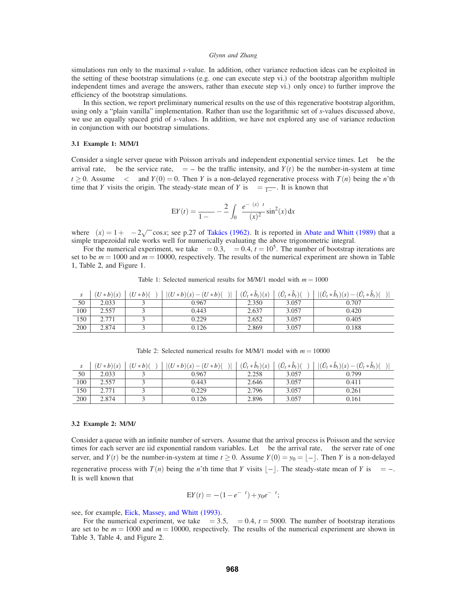#### *Glynn and Zhang*

simulations run only to the maximal *s*-value. In addition, other variance reduction ideas can be exploited in the setting of these bootstrap simulations (e.g. one can execute step vi.) of the bootstrap algorithm multiple independent times and average the answers, rather than execute step vi.) only once) to further improve the efficiency of the bootstrap simulations.

In this section, we report preliminary numerical results on the use of this regenerative bootstrap algorithm, using only a "plain vanilla" implementation. Rather than use the logarithmic set of *s*-values discussed above, we use an equally spaced grid of *s*-values. In addition, we have not explored any use of variance reduction in conjunction with our bootstrap simulations.

#### **3.1 Example 1: M/M/1**

Consider a single server queue with Poisson arrivals and independent exponential service times. Let  $\lambda$  be the arrival rate,  $\mu$  be the service rate,  $\rho = \frac{\lambda}{\mu}$  be the traffic intensity, and  $Y(t)$  be the number-in-system at time  $t \ge 0$ . Assume  $\lambda < \mu$  and  $Y(0) = 0$ . Then Y is a non-delayed regenerative process with  $T(n)$  being the n'th time that Y visits the origin. The steady-state mean of Y is  $\alpha = \frac{\rho}{1-\rho}$ . It is known that

$$
EY(t) = \frac{\rho}{1-\rho} - \frac{2}{\pi} \int_0^{\pi} \frac{e^{-\gamma(x)\mu t}}{\gamma(x)^2} \sin^2(x) dx
$$

where  $\gamma(x) = 1 + \rho - 2\sqrt{\rho} \cos x$ ; see p.27 of Takacs (1962). It is reported in Abate and Whitt (1989) that a simple trapezoidal rule works well for numerically evaluating the above trigonometric integral.

For the numerical experiment, we take  $\lambda = 0.3$ ,  $\mu = 0.4$ ,  $t = 10^5$ . The number of bootstrap iterations are set to be  $m = 1000$  and  $m = 10000$ , respectively. The results of the numerical experiment are shown in Table 1, Table 2, and Figure 1.

| S   | $(U * b)(s)$ | $(U * b)(\infty)$ | $ (U * b)(s) - (U * b)(\infty) $ | $(\hat{U}_t * \hat{b}_t)(s)$ | $(\hat{U}_t * \hat{b}_t)(\infty)$ | $ (\hat{U}_t * \hat{b}_t)(s) - (\hat{U}_t * \hat{b}_t)(\infty) $ |
|-----|--------------|-------------------|----------------------------------|------------------------------|-----------------------------------|------------------------------------------------------------------|
| 50  | 2.033        |                   | 0.967                            | 2.350                        | 3.057                             | 0.707                                                            |
| 100 | 2.557        |                   | 0.443                            | 2.637                        | 3.057                             | 0.420                                                            |
| 150 | 2.771        |                   | 0.229                            | 2.652                        | 3.057                             | 0.405                                                            |
| 200 | 2.874        |                   | 0.126                            | 2.869                        | 3.057                             | 0.188                                                            |

Table 1: Selected numerical results for  $M/M/1$  model with  $m = 1000$ 

Table 2: Selected numerical results for  $M/M/1$  model with  $m = 10000$ 

| S   | $(U * b)(s)$ | $(x+b)(\infty)$<br>(U | $ (U * b)(s) - (U * b)(\infty) $ | $(\hat{U}_t * \hat{b}_t)(s)$ | $(\hat{U}_t * \hat{b}_t)(\infty)$ | $\left  (\hat{U}_t * \hat{b}_t)(s) - (\hat{U}_t * \hat{b}_t)(\infty) \right $ |
|-----|--------------|-----------------------|----------------------------------|------------------------------|-----------------------------------|-------------------------------------------------------------------------------|
| 50  | 2.033        |                       | 0.967                            | 2.258                        | 3.057                             | 0.799                                                                         |
| 100 | 2.557        |                       | 0.443                            | 2.646                        | 3.057                             | 0.411                                                                         |
| 150 | 2.771        |                       | 0.229                            | 2.796                        | 3.057                             | 0.261                                                                         |
| 200 | 2.874        |                       | 0.126                            | 2.896                        | 3.057                             | 0.161                                                                         |

#### **3.2 Example 2: M/M/**∞

Consider a queue with an infinite number of servers. Assume that the arrival process is Poisson and the service times for each server are iid exponential random variables. Let  $\lambda$  be the arrival rate,  $\mu$  the server rate of one server, and *Y*(*t*) be the number-in-system at time  $t \ge 0$ . Assume  $Y(0) = y_0 = \lfloor \frac{\lambda}{\mu} \rfloor$ . Then *Y* is a non-delayed regenerative process with  $T(n)$  being the *n*'th time that *Y* visits  $\lfloor \frac{\lambda}{\mu} \rfloor$ . The steady-state mean of *Y* is  $\alpha = \frac{\lambda}{\mu}$ . It is well known that

$$
EY(t) = \frac{\lambda}{\mu} (1 - e^{-\mu t}) + y_0 e^{-\mu t};
$$

see, for example, Eick, Massey, and Whitt (1993).

For the numerical experiment, we take  $\lambda = 3.5$ ,  $\mu = 0.4$ ,  $t = 5000$ . The number of bootstrap iterations are set to be  $m = 1000$  and  $m = 10000$ , respectively. The results of the numerical experiment are shown in Table 3, Table 4, and Figure 2.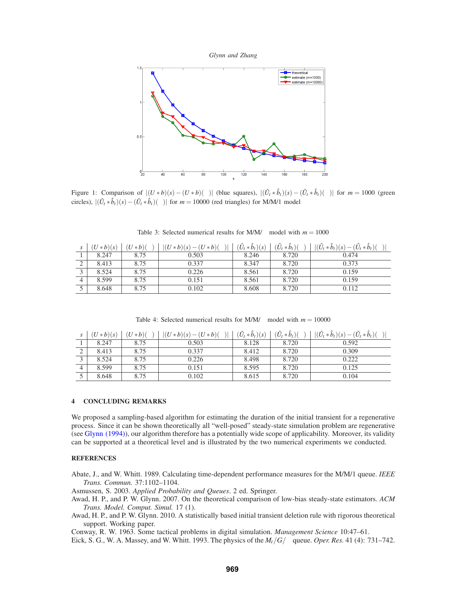



Figure 1: Comparison of  $|(U * b)(s) - (U * b)(\infty)|$  (blue squares),  $|(\hat{U}_t * \hat{b}_t)(s) - (\hat{U}_t * \hat{b}_t)(\infty)|$  for  $m = 1000$  (green circles),  $|(\hat{U}_t * \hat{b}_t)(s) - (\hat{U}_t * \hat{b}_t)(\infty)|$  for  $m = 10000$  (red triangles) for M/M/1 model

|   | $(U * b)(s)$ | $(U * b)(\infty)$ | $(U * b)(s) - (U * b)(\infty)$ | $(\hat{U}_t * \hat{b}_t)(s)$ | $(\hat{U}_t * \hat{b}_t)(\infty)$ | $ (\hat{U}_t * \hat{b}_t)(s) - (\hat{U}_t * \hat{b}_t)(\infty) $ |
|---|--------------|-------------------|--------------------------------|------------------------------|-----------------------------------|------------------------------------------------------------------|
|   | 8.247        | 8.75              | 0.503                          | 8.246                        | 8.720                             | 0.474                                                            |
| ∠ | 8.413        | 8.75              | 0.337                          | 8.347                        | 8.720                             | 0.373                                                            |
|   | 8.524        | 8.75              | 0.226                          | 8.561                        | 8.720                             | 0.159                                                            |
|   | 8.599        | 8.75              | 0.151                          | 8.561                        | 8.720                             | 0.159                                                            |
|   | 8.648        | 8.75              | 0.102                          | 8.608                        | 8.720                             | 0.112                                                            |

Table 3: Selected numerical results for M/M/ $\infty$  model with  $m = 1000$ 

Table 4: Selected numerical results for M/M/ $\infty$  model with  $m = 10000$ 

| $(U * b)(s)$ | $(U * b)(\infty)$ | $(U * b)(s) - (U * b)(\infty)$ | $(\hat{U}_t * \hat{b}_t)(s)$ | $(\hat{U}_t * \hat{b}_t)(\infty)$ | $ (\hat{U}_t * \hat{b}_t)(s) $<br>$-(\hat{U}_t * \hat{b}_t)(\infty)$ |
|--------------|-------------------|--------------------------------|------------------------------|-----------------------------------|----------------------------------------------------------------------|
| 8.247        | 8.75              | 0.503                          | 8.128                        | 8.720                             | 0.592                                                                |
| 8.413        | 8.75              | 0.337                          | 8.412                        | 8.720                             | 0.309                                                                |
| 8.524        | 8.75              | 0.226                          | 8.498                        | 8.720                             | 0.222                                                                |
| 8.599        | 8.75              | 0.151                          | 8.595                        | 8.720                             | 0.125                                                                |
| 8.648        | 8.75              | 0.102                          | 8.615                        | 8.720                             | 0.104                                                                |

# **4 CONCLUDING REMARKS**

We proposed a sampling-based algorithm for estimating the duration of the initial transient for a regenerative process. Since it can be shown theoretically all "well-posed" steady-state simulation problem are regenerative (see Glynn (1994)), our algorithm therefore has a potentially wide scope of applicability. Moreover, its validity can be supported at a theoretical level and is illustrated by the two numerical experiments we conducted.

## **REFERENCES**

Abate, J., and W. Whitt. 1989. Calculating time-dependent performance measures for the M/M/1 queue. *IEEE Trans. Commun.* 37:1102–1104.

Asmussen, S. 2003. *Applied Probability and Queues*. 2 ed. Springer.

- Awad, H. P., and P. W. Glynn. 2007. On the theoretical comparison of low-bias steady-state estimators. *ACM Trans. Model. Comput. Simul.* 17 (1).
- Awad, H. P., and P. W. Glynn. 2010. A statistically based initial transient deletion rule with rigorous theoretical support. Working paper.

Conway, R. W. 1963. Some tactical problems in digital simulation. *Management Science* 10:47–61.

Eick, S. G., W. A. Massey, and W. Whitt. 1993. The physics of the  $M_t/G/\infty$  queue. *Oper. Res.* 41 (4): 731–742.